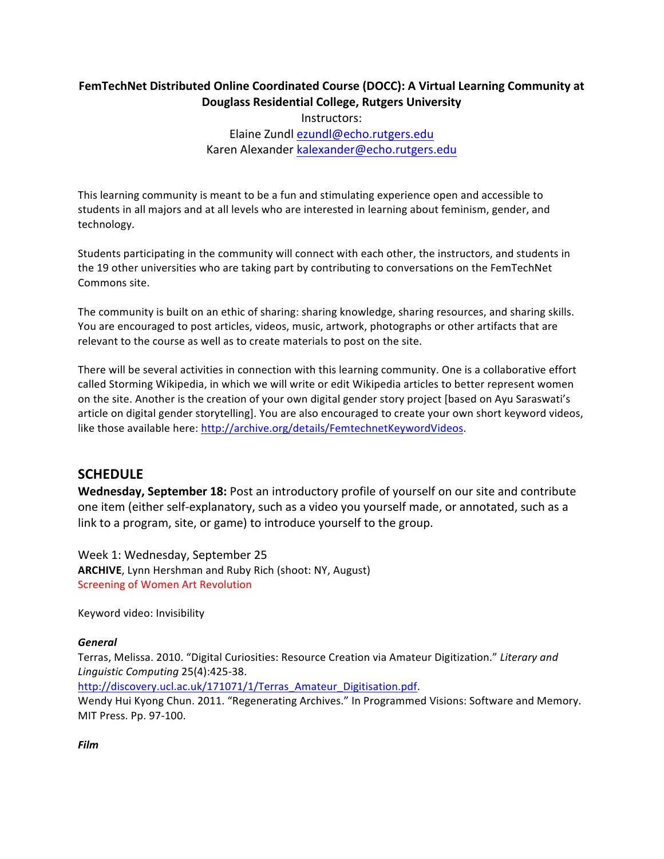# FemTechNet Distributed Online Coordinated Course (DOCC): A Virtual Learning Community at **Douglass Residential College, Rutgers University**

Instructors: 

Elaine Zundl ezundl@echo.rutgers.edu Karen Alexander kalexander@echo.rutgers.edu

This learning community is meant to be a fun and stimulating experience open and accessible to students in all majors and at all levels who are interested in learning about feminism, gender, and technology.

Students participating in the community will connect with each other, the instructors, and students in the 19 other universities who are taking part by contributing to conversations on the FemTechNet Commons site.

The community is built on an ethic of sharing: sharing knowledge, sharing resources, and sharing skills. You are encouraged to post articles, videos, music, artwork, photographs or other artifacts that are relevant to the course as well as to create materials to post on the site.

There will be several activities in connection with this learning community. One is a collaborative effort called Storming Wikipedia, in which we will write or edit Wikipedia articles to better represent women on the site. Another is the creation of your own digital gender story project [based on Ayu Saraswati's article on digital gender storytelling]. You are also encouraged to create your own short keyword videos, like those available here: http://archive.org/details/FemtechnetKeywordVideos.

# **SCHEDULE**

**Wednesday, September 18:** Post an introductory profile of yourself on our site and contribute one item (either self-explanatory, such as a video you yourself made, or annotated, such as a link to a program, site, or game) to introduce yourself to the group.

Week 1: Wednesday, September 25 **ARCHIVE**, Lynn Hershman and Ruby Rich (shoot: NY, August) Screening of Women Art Revolution

Keyword video: Invisibility

#### *General*

Terras, Melissa. 2010. "Digital Curiosities: Resource Creation via Amateur Digitization." Literary and *Linguistic Computing* 25(4):425-38. 

http://discovery.ucl.ac.uk/171071/1/Terras\_Amateur\_Digitisation.pdf.

Wendy Hui Kyong Chun. 2011. "Regenerating Archives." In Programmed Visions: Software and Memory. MIT Press. Pp. 97-100.

*Film*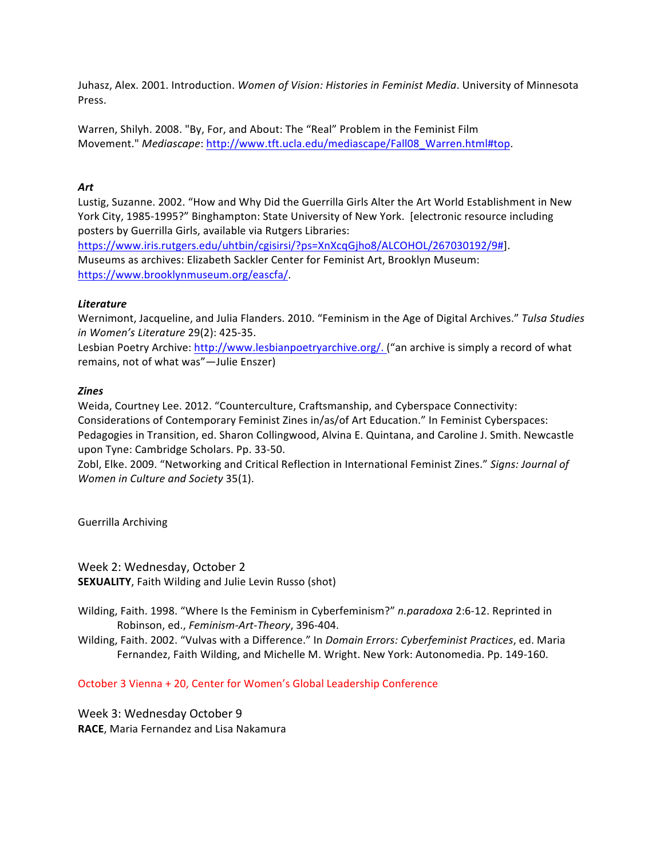Juhasz, Alex. 2001. Introduction. *Women of Vision: Histories in Feminist Media*. University of Minnesota Press.

Warren, Shilyh. 2008. "By, For, and About: The "Real" Problem in the Feminist Film Movement." *Mediascape*: http://www.tft.ucla.edu/mediascape/Fall08\_Warren.html#top.

#### *Art*

Lustig, Suzanne. 2002. "How and Why Did the Guerrilla Girls Alter the Art World Establishment in New York City, 1985-1995?" Binghampton: State University of New York. [electronic resource including posters by Guerrilla Girls, available via Rutgers Libraries:

https://www.iris.rutgers.edu/uhtbin/cgisirsi/?ps=XnXcqGjho8/ALCOHOL/267030192/9#]. Museums as archives: Elizabeth Sackler Center for Feminist Art, Brooklyn Museum: https://www.brooklynmuseum.org/eascfa/.

## *Literature*

Wernimont, Jacqueline, and Julia Flanders. 2010. "Feminism in the Age of Digital Archives." Tulsa Studies *in Women's Literature* 29(2): 425-35.

Lesbian Poetry Archive: http://www.lesbianpoetryarchive.org/. ("an archive is simply a record of what remains, not of what was"-Julie Enszer)

## *Zines*

Weida, Courtney Lee. 2012. "Counterculture, Craftsmanship, and Cyberspace Connectivity: Considerations of Contemporary Feminist Zines in/as/of Art Education." In Feminist Cyberspaces: Pedagogies in Transition, ed. Sharon Collingwood, Alvina E. Quintana, and Caroline J. Smith. Newcastle upon Tyne: Cambridge Scholars. Pp. 33-50.

Zobl, Elke. 2009. "Networking and Critical Reflection in International Feminist Zines." Signs: Journal of *Women in Culture and Society 35(1).* 

Guerrilla Archiving

Week 2: Wednesday, October 2 **SEXUALITY**, Faith Wilding and Julie Levin Russo (shot)

Wilding, Faith. 1998. "Where Is the Feminism in Cyberfeminism?" n.paradoxa 2:6-12. Reprinted in Robinson, ed., *Feminism-Art-Theory*, 396-404.

Wilding, Faith. 2002. "Vulvas with a Difference." In *Domain Errors: Cyberfeminist Practices*, ed. Maria Fernandez, Faith Wilding, and Michelle M. Wright. New York: Autonomedia. Pp. 149-160.

October 3 Vienna + 20, Center for Women's Global Leadership Conference

Week 3: Wednesday October 9 **RACE**, Maria Fernandez and Lisa Nakamura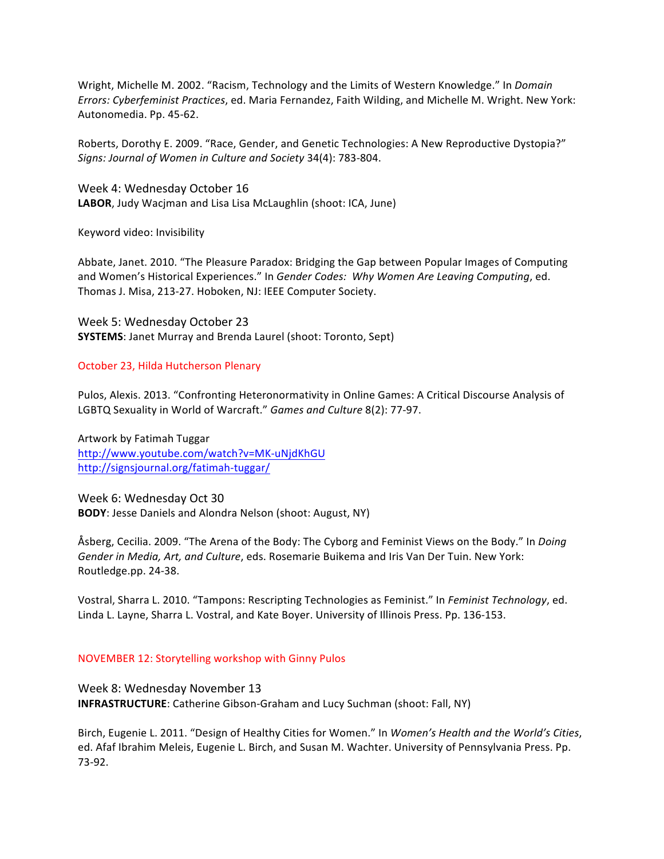Wright, Michelle M. 2002. "Racism, Technology and the Limits of Western Knowledge." In *Domain Errors: Cyberfeminist Practices, ed. Maria Fernandez, Faith Wilding, and Michelle M. Wright. New York:* Autonomedia. Pp. 45-62.

Roberts, Dorothy E. 2009. "Race, Gender, and Genetic Technologies: A New Reproductive Dystopia?" Signs: Journal of Women in Culture and Society 34(4): 783-804.

Week 4: Wednesday October 16 LABOR, Judy Wacjman and Lisa Lisa McLaughlin (shoot: ICA, June)

Keyword video: Invisibility

Abbate, Janet. 2010. "The Pleasure Paradox: Bridging the Gap between Popular Images of Computing and Women's Historical Experiences." In *Gender Codes:* Why Women Are Leaving Computing, ed. Thomas J. Misa, 213-27. Hoboken, NJ: IEEE Computer Society.

Week 5: Wednesday October 23 **SYSTEMS:** Janet Murray and Brenda Laurel (shoot: Toronto, Sept)

October 23, Hilda Hutcherson Plenary

Pulos, Alexis. 2013. "Confronting Heteronormativity in Online Games: A Critical Discourse Analysis of LGBTQ Sexuality in World of Warcraft." Games and Culture 8(2): 77-97.

Artwork by Fatimah Tuggar http://www.youtube.com/watch?v=MK-uNjdKhGU http://signsjournal.org/fatimah-tuggar/

Week 6: Wednesday Oct 30 **BODY**: Jesse Daniels and Alondra Nelson (shoot: August, NY)

Åsberg, Cecilia. 2009. "The Arena of the Body: The Cyborg and Feminist Views on the Body." In *Doing* Gender in Media, Art, and Culture, eds. Rosemarie Buikema and Iris Van Der Tuin. New York: Routledge.pp. 24-38.

Vostral, Sharra L. 2010. "Tampons: Rescripting Technologies as Feminist." In *Feminist Technology*, ed. Linda L. Layne, Sharra L. Vostral, and Kate Boyer. University of Illinois Press. Pp. 136-153.

#### NOVEMBER 12: Storytelling workshop with Ginny Pulos

Week 8: Wednesday November 13 **INFRASTRUCTURE:** Catherine Gibson-Graham and Lucy Suchman (shoot: Fall, NY)

Birch, Eugenie L. 2011. "Design of Healthy Cities for Women." In Women's Health and the World's Cities, ed. Afaf Ibrahim Meleis, Eugenie L. Birch, and Susan M. Wachter. University of Pennsylvania Press. Pp. 73-92.